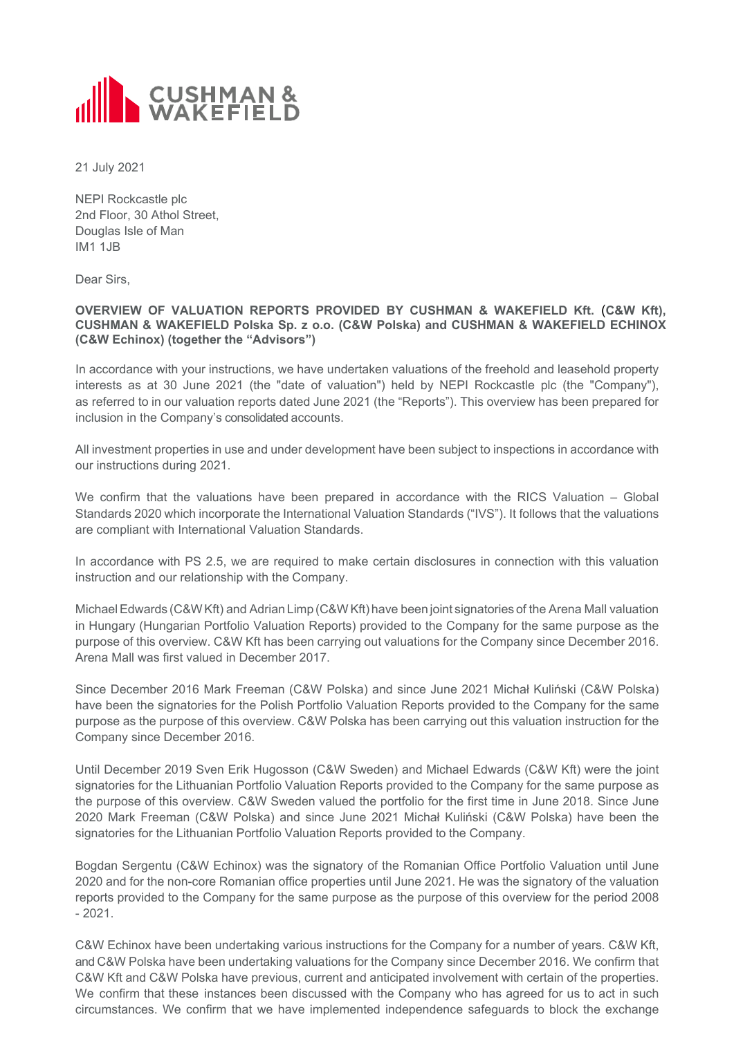

21 July 2021

NEPI Rockcastle plc 2nd Floor, 30 Athol Street, Douglas Isle of Man IM1 1JB

Dear Sirs,

## **OVERVIEW OF VALUATION REPORTS PROVIDED BY CUSHMAN & WAKEFIELD Kft.** (**C&W Kft), CUSHMAN & WAKEFIELD Polska Sp. z o.o. (C&W Polska) and CUSHMAN & WAKEFIELD ECHINOX (C&W Echinox) (together the "Advisors")**

In accordance with your instructions, we have undertaken valuations of the freehold and leasehold property interests as at 30 June 2021 (the "date of valuation") held by NEPI Rockcastle plc (the "Company"), as referred to in our valuation reports dated June 2021 (the "Reports"). This overview has been prepared for inclusion in the Company's consolidated accounts.

All investment properties in use and under development have been subject to inspections in accordance with our instructions during 2021.

We confirm that the valuations have been prepared in accordance with the RICS Valuation – Global Standards 2020 which incorporate the International Valuation Standards ("IVS"). It follows that the valuations are compliant with International Valuation Standards.

In accordance with PS 2.5, we are required to make certain disclosures in connection with this valuation instruction and our relationship with the Company.

Michael Edwards (C&W Kft) and Adrian Limp (C&W Kft) have been joint signatories of the Arena Mall valuation in Hungary (Hungarian Portfolio Valuation Reports) provided to the Company for the same purpose as the purpose of this overview. C&W Kft has been carrying out valuations for the Company since December 2016. Arena Mall was first valued in December 2017.

Since December 2016 Mark Freeman (C&W Polska) and since June 2021 Michał Kuliński (C&W Polska) have been the signatories for the Polish Portfolio Valuation Reports provided to the Company for the same purpose as the purpose of this overview. C&W Polska has been carrying out this valuation instruction for the Company since December 2016.

Until December 2019 Sven Erik Hugosson (C&W Sweden) and Michael Edwards (C&W Kft) were the joint signatories for the Lithuanian Portfolio Valuation Reports provided to the Company for the same purpose as the purpose of this overview. C&W Sweden valued the portfolio for the first time in June 2018. Since June 2020 Mark Freeman (C&W Polska) and since June 2021 Michał Kuliński (C&W Polska) have been the signatories for the Lithuanian Portfolio Valuation Reports provided to the Company.

Bogdan Sergentu (C&W Echinox) was the signatory of the Romanian Office Portfolio Valuation until June 2020 and for the non-core Romanian office properties until June 2021. He was the signatory of the valuation reports provided to the Company for the same purpose as the purpose of this overview for the period 2008  $-2021$ 

C&W Echinox have been undertaking various instructions for the Company for a number of years. C&W Kft, and C&W Polska have been undertaking valuations for the Company since December 2016. We confirm that C&W Kft and C&W Polska have previous, current and anticipated involvement with certain of the properties. We confirm that these instances been discussed with the Company who has agreed for us to act in such circumstances. We confirm that we have implemented independence safeguards to block the exchange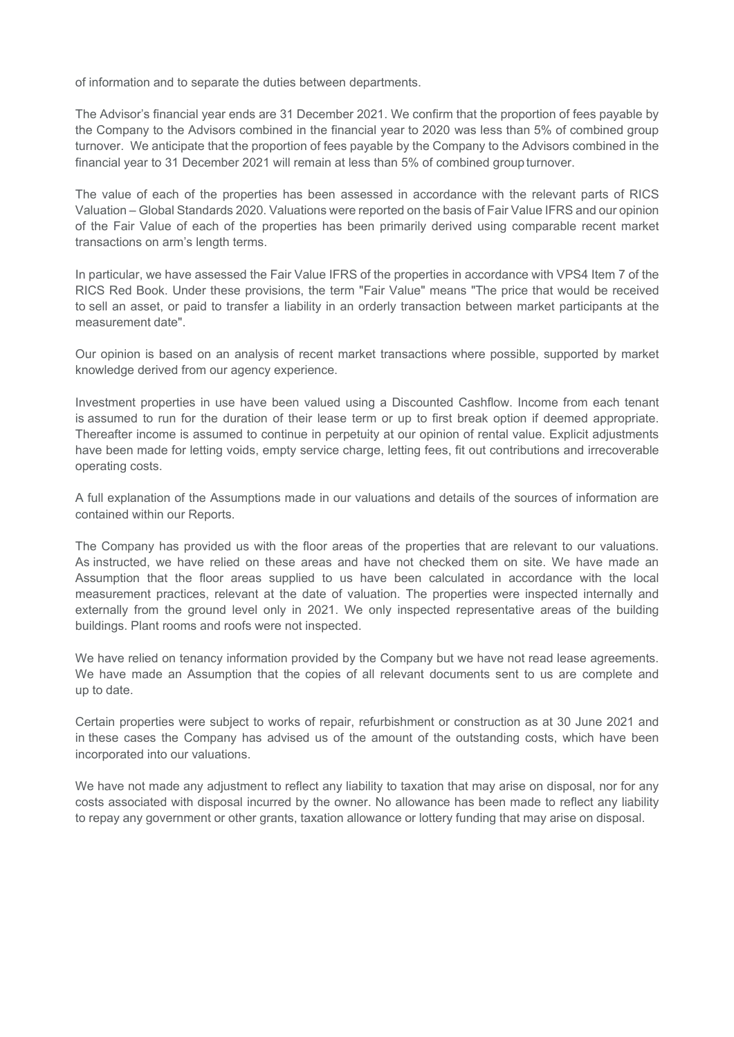of information and to separate the duties between departments.

The Advisor's financial year ends are 31 December 2021. We confirm that the proportion of fees payable by the Company to the Advisors combined in the financial year to 2020 was less than 5% of combined group turnover. We anticipate that the proportion of fees payable by the Company to the Advisors combined in the financial year to 31 December 2021 will remain at less than 5% of combined group turnover.

The value of each of the properties has been assessed in accordance with the relevant parts of RICS Valuation – Global Standards 2020. Valuations were reported on the basis of Fair Value IFRS and our opinion of the Fair Value of each of the properties has been primarily derived using comparable recent market transactions on arm's length terms.

In particular, we have assessed the Fair Value IFRS of the properties in accordance with VPS4 Item 7 of the RICS Red Book. Under these provisions, the term "Fair Value" means "The price that would be received to sell an asset, or paid to transfer a liability in an orderly transaction between market participants at the measurement date".

Our opinion is based on an analysis of recent market transactions where possible, supported by market knowledge derived from our agency experience.

Investment properties in use have been valued using a Discounted Cashflow. Income from each tenant is assumed to run for the duration of their lease term or up to first break option if deemed appropriate. Thereafter income is assumed to continue in perpetuity at our opinion of rental value. Explicit adjustments have been made for letting voids, empty service charge, letting fees, fit out contributions and irrecoverable operating costs.

A full explanation of the Assumptions made in our valuations and details of the sources of information are contained within our Reports.

The Company has provided us with the floor areas of the properties that are relevant to our valuations. As instructed, we have relied on these areas and have not checked them on site. We have made an Assumption that the floor areas supplied to us have been calculated in accordance with the local measurement practices, relevant at the date of valuation. The properties were inspected internally and externally from the ground level only in 2021. We only inspected representative areas of the building buildings. Plant rooms and roofs were not inspected.

We have relied on tenancy information provided by the Company but we have not read lease agreements. We have made an Assumption that the copies of all relevant documents sent to us are complete and up to date.

Certain properties were subject to works of repair, refurbishment or construction as at 30 June 2021 and in these cases the Company has advised us of the amount of the outstanding costs, which have been incorporated into our valuations.

We have not made any adjustment to reflect any liability to taxation that may arise on disposal, nor for any costs associated with disposal incurred by the owner. No allowance has been made to reflect any liability to repay any government or other grants, taxation allowance or lottery funding that may arise on disposal.